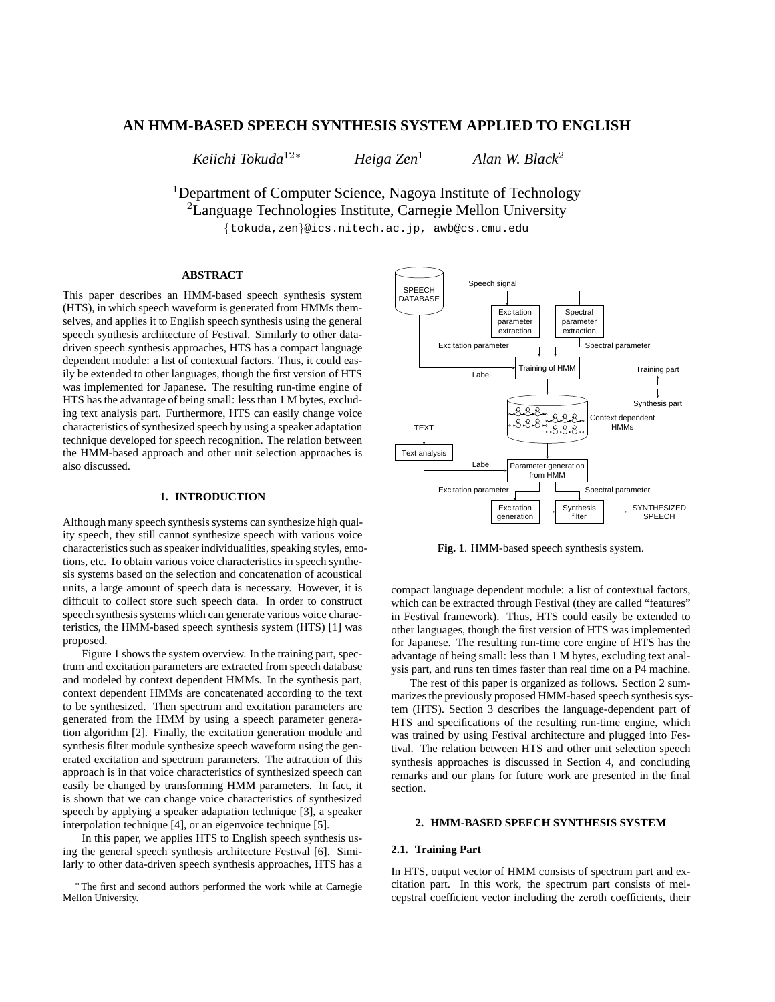# **AN HMM-BASED SPEECH SYNTHESIS SYSTEM APPLIED TO ENGLISH**

 $Keiichi$  *Tokuda*<sup>12\*</sup>

*Heiga Zen*

*Alan W. Black*

<sup>1</sup>Department of Computer Science, Nagoya Institute of Technology  ${}^{2}$ Language Technologies Institute, Carnegie Mellon University

tokuda,zen @ics.nitech.ac.jp, awb@cs.cmu.edu

## **ABSTRACT**

This paper describes an HMM-based speech synthesis system (HTS), in which speech waveform is generated from HMMs themselves, and applies it to English speech synthesis using the general speech synthesis architecture of Festival. Similarly to other datadriven speech synthesis approaches, HTS has a compact language dependent module: a list of contextual factors. Thus, it could easily be extended to other languages, though the first version of HTS was implemented for Japanese. The resulting run-time engine of HTS has the advantage of being small: less than 1 M bytes, excluding text analysis part. Furthermore, HTS can easily change voice characteristics of synthesized speech by using a speaker adaptation technique developed for speech recognition. The relation between the HMM-based approach and other unit selection approaches is also discussed.

#### **1. INTRODUCTION**

Although many speech synthesissystems can synthesize high quality speech, they still cannot synthesize speech with various voice characteristics such as speaker individualities, speaking styles, emotions, etc. To obtain various voice characteristics in speech synthesis systems based on the selection and concatenation of acoustical units, a large amount of speech data is necessary. However, it is difficult to collect store such speech data. In order to construct speech synthesis systems which can generate various voice characteristics, the HMM-based speech synthesis system (HTS) [1] was proposed.

Figure 1 shows the system overview. In the training part, spectrum and excitation parameters are extracted from speech database and modeled by context dependent HMMs. In the synthesis part, context dependent HMMs are concatenated according to the text to be synthesized. Then spectrum and excitation parameters are generated from the HMM by using a speech parameter generation algorithm [2]. Finally, the excitation generation module and synthesis filter module synthesize speech waveform using the generated excitation and spectrum parameters. The attraction of this approach is in that voice characteristics of synthesized speech can easily be changed by transforming HMM parameters. In fact, it is shown that we can change voice characteristics of synthesized speech by applying a speaker adaptation technique [3], a speaker interpolation technique [4], or an eigenvoice technique [5].

In this paper, we applies HTS to English speech synthesis using the general speech synthesis architecture Festival [6]. Similarly to other data-driven speech synthesis approaches, HTS has a



**Fig. 1**. HMM-based speech synthesis system.

compact language dependent module: a list of contextual factors, which can be extracted through Festival (they are called "features" in Festival framework). Thus, HTS could easily be extended to other languages, though the first version of HTS was implemented for Japanese. The resulting run-time core engine of HTS has the advantage of being small: less than 1 M bytes, excluding text analysis part, and runs ten times faster than real time on a P4 machine.

The rest of this paper is organized as follows. Section 2 summarizes the previously proposed HMM-based speech synthesis system (HTS). Section 3 describes the language-dependent part of HTS and specifications of the resulting run-time engine, which was trained by using Festival architecture and plugged into Festival. The relation between HTS and other unit selection speech synthesis approaches is discussed in Section 4, and concluding remarks and our plans for future work are presented in the final section.

## **2. HMM-BASED SPEECH SYNTHESIS SYSTEM**

## **2.1. Training Part**

In HTS, output vector of HMM consists of spectrum part and excitation part. In this work, the spectrum part consists of melcepstral coefficient vector including the zeroth coefficients, their

The first and second authors performed the work while at Carnegie Mellon University.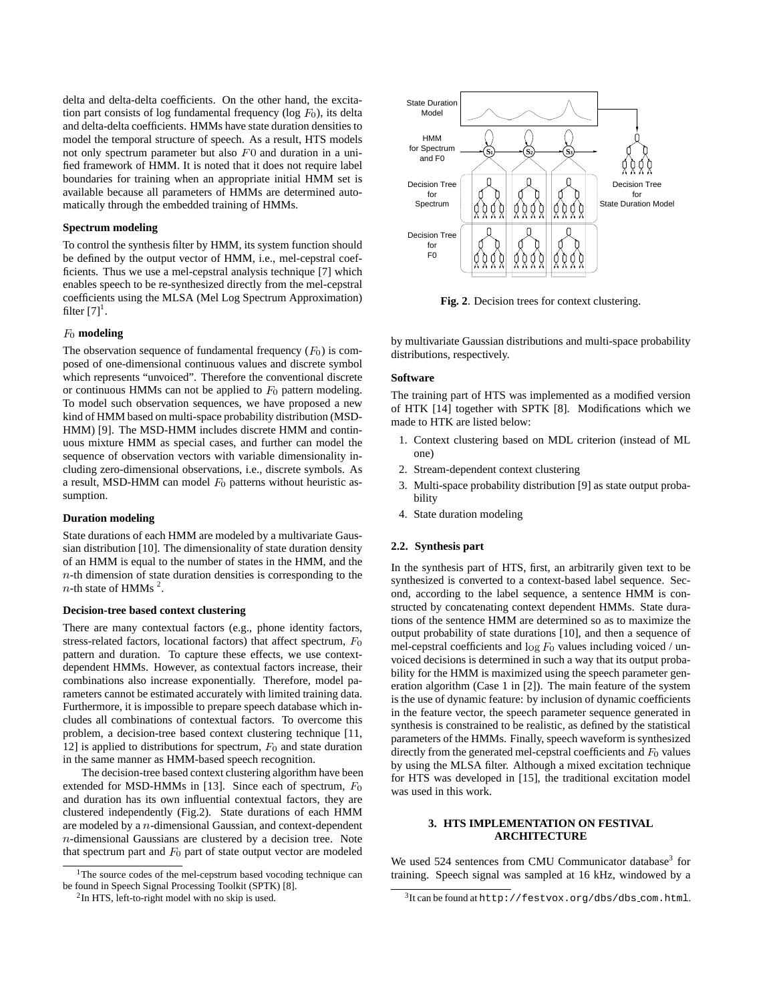delta and delta-delta coefficients. On the other hand, the excitation part consists of log fundamental frequency ( $log F_0$ ), its delta and delta-delta coefficients. HMMs have state duration densities to model the temporal structure of speech. As a result, HTS models not only spectrum parameter but also  $F<sub>0</sub>$  and duration in a unified framework of HMM. It is noted that it does not require label boundaries for training when an appropriate initial HMM set is available because all parameters of HMMs are determined automatically through the embedded training of HMMs.

### **Spectrum modeling**

To control the synthesis filter by HMM, its system function should be defined by the output vector of HMM, i.e., mel-cepstral coefficients. Thus we use a mel-cepstral analysis technique [7] which enables speech to be re-synthesized directly from the mel-cepstral coefficients using the MLSA (Mel Log Spectrum Approximation) filter  $[7]^1$ .

#### **modeling**

The observation sequence of fundamental frequency  $(F_0)$  is composed of one-dimensional continuous values and discrete symbol which represents "unvoiced". Therefore the conventional discrete or continuous HMMs can not be applied to  $F_0$  pattern modeling. To model such observation sequences, we have proposed a new kind of HMM based on multi-space probability distribution (MSD-HMM) [9]. The MSD-HMM includes discrete HMM and continuous mixture HMM as special cases, and further can model the sequence of observation vectors with variable dimensionality including zero-dimensional observations, i.e., discrete symbols. As a result, MSD-HMM can model  $F_0$  patterns without heuristic assumption.

### **Duration modeling**

State durations of each HMM are modeled by a multivariate Gaussian distribution [10]. The dimensionality of state duration density of an HMM is equal to the number of states in the HMM, and the  $n$ -th dimension of state duration densities is corresponding to the  $n$ -th state of HMMs<sup>2</sup>.

### **Decision-tree based context clustering**

There are many contextual factors (e.g., phone identity factors, stress-related factors, locational factors) that affect spectrum,  $F_0$ pattern and duration. To capture these effects, we use contextdependent HMMs. However, as contextual factors increase, their combinations also increase exponentially. Therefore, model parameters cannot be estimated accurately with limited training data. Furthermore, it is impossible to prepare speech database which includes all combinations of contextual factors. To overcome this problem, a decision-tree based context clustering technique [11, 12] is applied to distributions for spectrum,  $F_0$  and state duration in the same manner as HMM-based speech recognition.

The decision-tree based context clustering algorithm have been extended for MSD-HMMs in [13]. Since each of spectrum,  $F_0$ and duration has its own influential contextual factors, they are clustered independently (Fig.2). State durations of each HMM are modeled by a  $n$ -dimensional Gaussian, and context-dependent  $n$ -dimensional Gaussians are clustered by a decision tree. Note that spectrum part and  $F_0$  part of state output vector are modeled



**Fig. 2**. Decision trees for context clustering.

by multivariate Gaussian distributions and multi-space probability distributions, respectively.

### **Software**

The training part of HTS was implemented as a modified version of HTK [14] together with SPTK [8]. Modifications which we made to HTK are listed below:

- 1. Context clustering based on MDL criterion (instead of ML one)
- 2. Stream-dependent context clustering
- 3. Multi-space probability distribution [9] as state output probability
- 4. State duration modeling

#### **2.2. Synthesis part**

<sup>0</sup> mel-cepstral coefficients and  $\log F_0$  values including voiced / un- $^{0}$  was used in this work. In the synthesis part of HTS, first, an arbitrarily given text to be synthesized is converted to a context-based label sequence. Second, according to the label sequence, a sentence HMM is constructed by concatenating context dependent HMMs. State durations of the sentence HMM are determined so as to maximize the output probability of state durations [10], and then a sequence of voiced decisions is determined in such a way that its output probability for the HMM is maximized using the speech parameter generation algorithm (Case 1 in [2]). The main feature of the system is the use of dynamic feature: by inclusion of dynamic coefficients in the feature vector, the speech parameter sequence generated in synthesis is constrained to be realistic, as defined by the statistical parameters of the HMMs. Finally, speech waveform is synthesized directly from the generated mel-cepstral coefficients and  $F_0$  values by using the MLSA filter. Although a mixed excitation technique for HTS was developed in [15], the traditional excitation model

### **3. HTS IMPLEMENTATION ON FESTIVAL ARCHITECTURE**

We used 524 sentences from CMU Communicator database<sup>3</sup> for training. Speech signal was sampled at 16 kHz, windowed by a

<sup>&</sup>lt;sup>1</sup>The source codes of the mel-cepstrum based vocoding technique can be found in Speech Signal Processing Toolkit (SPTK) [8].

<sup>&</sup>lt;sup>2</sup>In HTS, left-to-right model with no skip is used.

<sup>3</sup> It can be found at http://festvox.org/dbs/dbs com.html.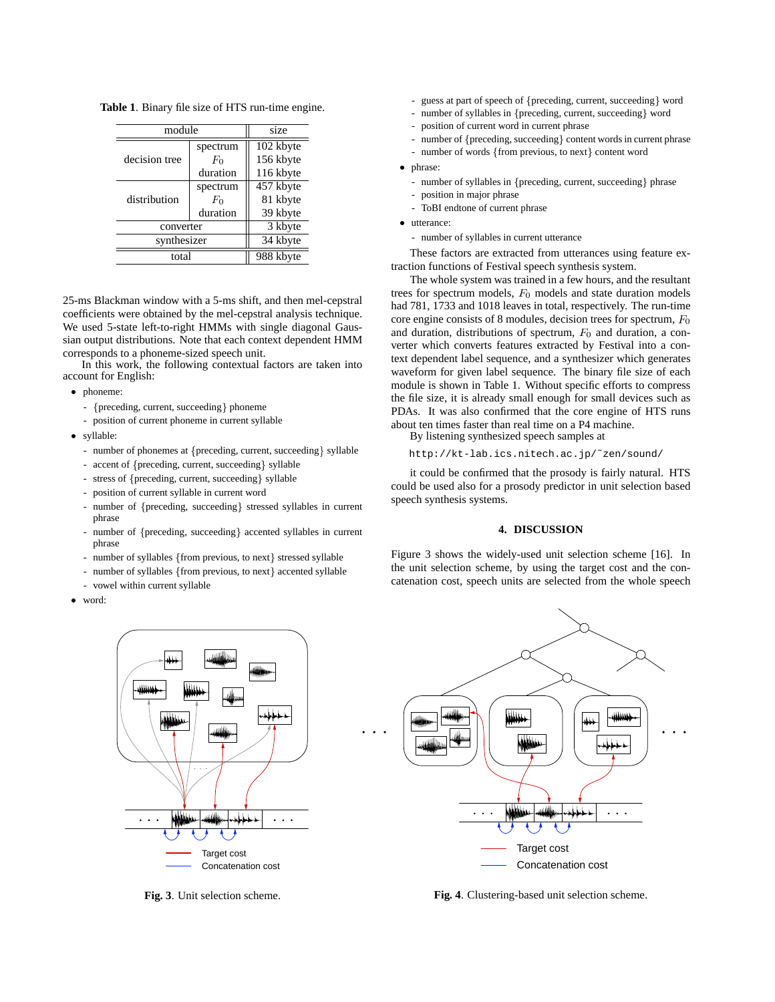**Table 1**. Binary file size of HTS run-time engine.

| module        |          | size                   |  |
|---------------|----------|------------------------|--|
|               | spectrum | $\overline{102}$ kbyte |  |
| decision tree | $F_0$    | 156 kbyte              |  |
|               | duration | 116 kbyte              |  |
| distribution  | spectrum | 457 kbyte              |  |
|               | $F_0$    | 81 kbyte               |  |
|               | duration | 39 kbyte               |  |
| converter     |          | 3 kbyte                |  |
| synthesizer   | 34 kbyte |                        |  |
| total         |          | 988 kbyte              |  |

25-ms Blackman window with a 5-ms shift, and then mel-cepstral coefficients were obtained by the mel-cepstral analysis technique. We used 5-state left-to-right HMMs with single diagonal Gaussian output distributions. Note that each context dependent HMM corresponds to a phoneme-sized speech unit.

In this work, the following contextual factors are taken into account for English:

#### phoneme:

- ${preceding, current, succeeding}$  phoneme
- position of current phoneme in current syllable
- syllable:
	- number of phonemes at {preceding, current, succeeding} syllable
	- accent of {preceding, current, succeeding} syllable
	- stress of {preceding, current, succeeding} syllable
	- position of current syllable in current word
	- number of {preceding, succeeding} stressed syllables in current phrase
	- number of {preceding, succeeding} accented syllables in current phrase
	- number of syllables {from previous, to next} stressed syllable
	- number of syllables {from previous, to next} accented syllable
	- vowel within current syllable
- word:



**Fig. 3**. Unit selection scheme.

- guess at part of speech of {preceding, current, succeeding } word
- number of syllables in {preceding, current, succeeding} word
- position of current word in current phrase
- number of {preceding, succeeding} content words in current phrase
- number of words {from previous, to next} content word

phrase:

- number of syllables in {preceding, current, succeeding} phrase
- position in major phrase
- ToBI endtone of current phrase
- utterance:
	- number of syllables in current utterance

These factors are extracted from utterances using feature extraction functions of Festival speech synthesis system.

The whole system was trained in a few hours, and the resultant trees for spectrum models,  $F_0$  models and state duration models had 781, 1733 and 1018 leaves in total, respectively. The run-time core engine consists of 8 modules, decision trees for spectrum,  $F_0$ and duration, distributions of spectrum,  $F_0$  and duration, a converter which converts features extracted by Festival into a context dependent label sequence, and a synthesizer which generates waveform for given label sequence. The binary file size of each module is shown in Table 1. Without specific efforts to compress the file size, it is already small enough for small devices such as PDAs. It was also confirmed that the core engine of HTS runs about ten times faster than real time on a P4 machine.

By listening synthesized speech samples at

http://kt-lab.ics.nitech.ac.jp/˜zen/sound/

it could be confirmed that the prosody is fairly natural. HTS could be used also for a prosody predictor in unit selection based speech synthesis systems.

## **4. DISCUSSION**

Figure 3 shows the widely-used unit selection scheme [16]. In the unit selection scheme, by using the target cost and the concatenation cost, speech units are selected from the whole speech



**Fig. 4**. Clustering-based unit selection scheme.